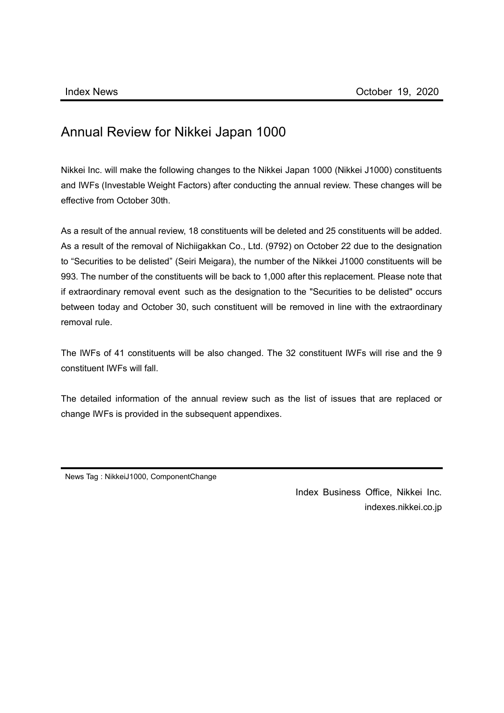## Annual Review for Nikkei Japan 1000

Nikkei Inc. will make the following changes to the Nikkei Japan 1000 (Nikkei J1000) constituents and IWFs (Investable Weight Factors) after conducting the annual review. These changes will be effective from October 30th.

As a result of the annual review, 18 constituents will be deleted and 25 constituents will be added. As a result of the removal of Nichiigakkan Co., Ltd. (9792) on October 22 due to the designation to "Securities to be delisted" (Seiri Meigara), the number of the Nikkei J1000 constituents will be 993. The number of the constituents will be back to 1,000 after this replacement. Please note that if extraordinary removal event such as the designation to the "Securities to be delisted" occurs between today and October 30, such constituent will be removed in line with the extraordinary removal rule.

The IWFs of 41 constituents will be also changed. The 32 constituent IWFs will rise and the 9 constituent IWFs will fall.

The detailed information of the annual review such as the list of issues that are replaced or change IWFs is provided in the subsequent appendixes.

News Tag : NikkeiJ1000, ComponentChange

Index Business Office, Nikkei Inc. indexes.nikkei.co.jp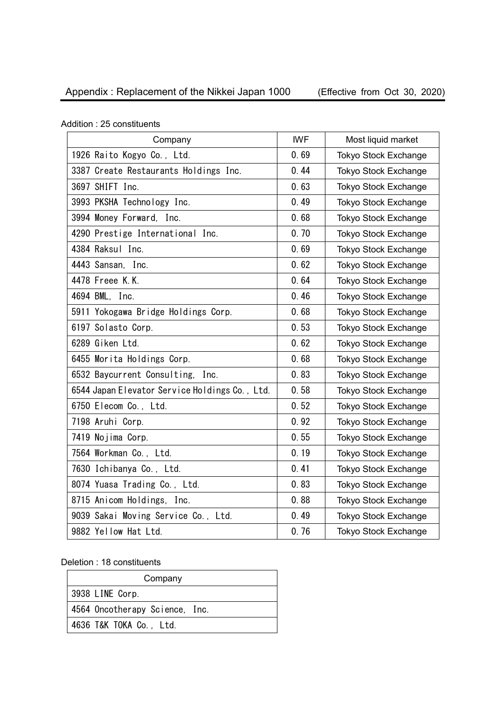| Company                                        | <b>IWF</b> | Most liquid market          |
|------------------------------------------------|------------|-----------------------------|
| 1926 Raito Kogyo Co., Ltd.                     | 0.69       | <b>Tokyo Stock Exchange</b> |
| 3387 Create Restaurants Holdings Inc.          | 0.44       | <b>Tokyo Stock Exchange</b> |
| 3697 SHIFT Inc.                                | 0.63       | Tokyo Stock Exchange        |
| 3993 PKSHA Technology Inc.                     | 0.49       | <b>Tokyo Stock Exchange</b> |
| 3994 Money Forward, Inc.                       | 0.68       | <b>Tokyo Stock Exchange</b> |
| 4290 Prestige International Inc.               | 0.70       | <b>Tokyo Stock Exchange</b> |
| 4384 Raksul Inc.                               | 0.69       | <b>Tokyo Stock Exchange</b> |
| 4443 Sansan, Inc.                              | 0.62       | <b>Tokyo Stock Exchange</b> |
| 4478 Freee K.K.                                | 0.64       | <b>Tokyo Stock Exchange</b> |
| 4694 BML, Inc.                                 | 0.46       | Tokyo Stock Exchange        |
| 5911 Yokogawa Bridge Holdings Corp.            | 0.68       | <b>Tokyo Stock Exchange</b> |
| 6197 Solasto Corp.                             | 0.53       | <b>Tokyo Stock Exchange</b> |
| 6289 Giken Ltd.                                | 0.62       | <b>Tokyo Stock Exchange</b> |
| 6455 Morita Holdings Corp.                     | 0.68       | Tokyo Stock Exchange        |
| 6532 Baycurrent Consulting, Inc.               | 0.83       | <b>Tokyo Stock Exchange</b> |
| 6544 Japan Elevator Service Holdings Co., Ltd. | 0.58       | <b>Tokyo Stock Exchange</b> |
| 6750 Elecom Co., Ltd.                          | 0.52       | <b>Tokyo Stock Exchange</b> |
| 7198 Aruhi Corp.                               | 0.92       | <b>Tokyo Stock Exchange</b> |
| 7419 Nojima Corp.                              | 0.55       | Tokyo Stock Exchange        |
| 7564 Workman Co., Ltd.                         | 0.19       | <b>Tokyo Stock Exchange</b> |
| 7630 Ichibanya Co., Ltd.                       | 0.41       | <b>Tokyo Stock Exchange</b> |
| 8074 Yuasa Trading Co., Ltd.                   | 0.83       | <b>Tokyo Stock Exchange</b> |
| 8715 Anicom Holdings, Inc.                     | 0.88       | <b>Tokyo Stock Exchange</b> |
| 9039 Sakai Moving Service Co., Ltd.            | 0.49       | <b>Tokyo Stock Exchange</b> |
| 9882 Yellow Hat Ltd.                           | 0.76       | <b>Tokyo Stock Exchange</b> |

Addition : 25 constituents

Deletion : 18 constituents

| Company                        |
|--------------------------------|
| 3938 LINE Corp.                |
| 4564 Oncotherapy Science, Inc. |
| 4636 T&K TOKA Co., Ltd.        |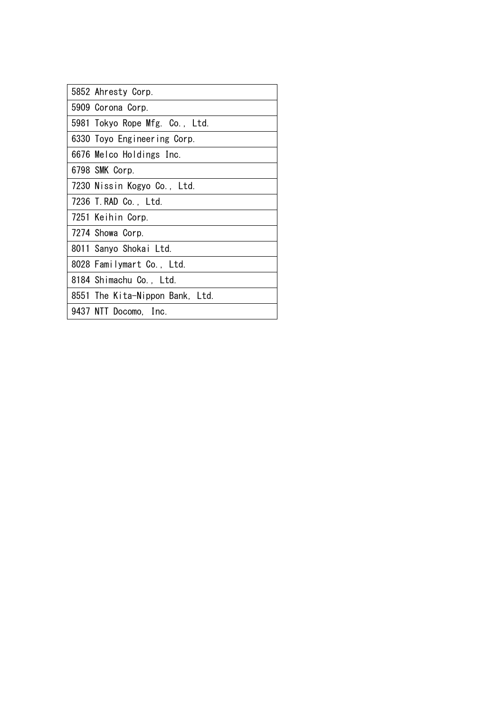| 5852 Ahresty Corp.              |
|---------------------------------|
| 5909 Corona Corp.               |
| 5981 Tokyo Rope Mfg. Co., Ltd.  |
| 6330 Toyo Engineering Corp.     |
| 6676 Melco Holdings Inc.        |
| 6798 SMK Corp.                  |
| 7230 Nissin Kogyo Co., Ltd.     |
| 7236 T. RAD Co., Ltd.           |
| 7251 Keihin Corp.               |
| 7274 Showa Corp.                |
| 8011 Sanyo Shokai Ltd.          |
| 8028 Familymart Co., Ltd.       |
| 8184 Shimachu Co., Ltd.         |
| 8551 The Kita-Nippon Bank, Ltd. |
| 9437 NTT Docomo, Inc.           |
|                                 |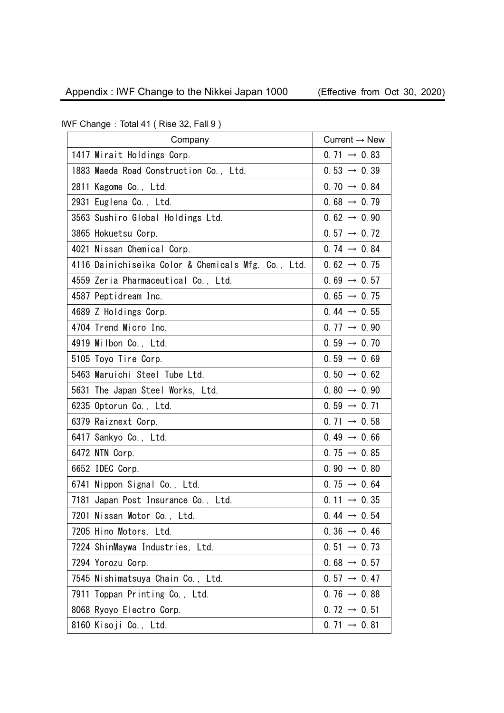| Company                                             | Current $\rightarrow$ New |
|-----------------------------------------------------|---------------------------|
| 1417 Mirait Holdings Corp.                          | $0.71 \rightarrow 0.83$   |
| 1883 Maeda Road Construction Co., Ltd.              | $0.53 \rightarrow 0.39$   |
| 2811 Kagome Co., Ltd.                               | $0.70 \rightarrow 0.84$   |
| 2931 Euglena Co., Ltd.                              | $0.68 \rightarrow 0.79$   |
| 3563 Sushiro Global Holdings Ltd.                   | $0.62 \rightarrow 0.90$   |
| 3865 Hokuetsu Corp.                                 | $0.57 \rightarrow 0.72$   |
| 4021 Nissan Chemical Corp.                          | $0.74 \rightarrow 0.84$   |
| 4116 Dainichiseika Color & Chemicals Mfg. Co., Ltd. | $0.62 \rightarrow 0.75$   |
| 4559 Zeria Pharmaceutical Co., Ltd.                 | $0.69 \rightarrow 0.57$   |
| 4587 Peptidream Inc.                                | $0.65 \rightarrow 0.75$   |
| 4689 Z Holdings Corp.                               | 0.44 $\rightarrow$ 0.55   |
| 4704 Trend Micro Inc.                               | $0.77 \rightarrow 0.90$   |
| 4919 Milbon Co., Ltd.                               | $0.59 \rightarrow 0.70$   |
| 5105 Toyo Tire Corp.                                | $0.59 \rightarrow 0.69$   |
| 5463 Maruichi Steel Tube Ltd.                       | $0.50 \rightarrow 0.62$   |
| 5631 The Japan Steel Works, Ltd.                    | $0.80 \rightarrow 0.90$   |
| 6235 Optorun Co., Ltd.                              | $0.59 \rightarrow 0.71$   |
| 6379 Raiznext Corp.                                 | $0.71 \rightarrow 0.58$   |
| 6417 Sankyo Co., Ltd.                               | $0.49 \rightarrow 0.66$   |
| 6472 NTN Corp.                                      | $0.75 \rightarrow 0.85$   |
| 6652 IDEC Corp.                                     | $0.90 \rightarrow 0.80$   |
| 6741 Nippon Signal Co., Ltd.                        | $0.75 \rightarrow 0.64$   |
| 7181 Japan Post Insurance Co., Ltd.                 | $0.11 \rightarrow 0.35$   |
| 7201 Nissan Motor Co., Ltd.                         | $0.44 \rightarrow 0.54$   |
| 7205 Hino Motors, Ltd.                              | $0.36 \rightarrow 0.46$   |
| 7224 ShinMaywa Industries, Ltd.                     | $0.51 \rightarrow 0.73$   |
| 7294 Yorozu Corp.                                   | $0.68 \rightarrow 0.57$   |
| 7545 Nishimatsuya Chain Co., Ltd.                   | $0.57 \rightarrow 0.47$   |
| 7911 Toppan Printing Co., Ltd.                      | $0.76 \rightarrow 0.88$   |
| 8068 Ryoyo Electro Corp.                            | $0.72 \rightarrow 0.51$   |
| 8160 Kisoji Co., Ltd.                               | $0.71 \rightarrow 0.81$   |

IWF Change: Total 41 (Rise 32, Fall 9)